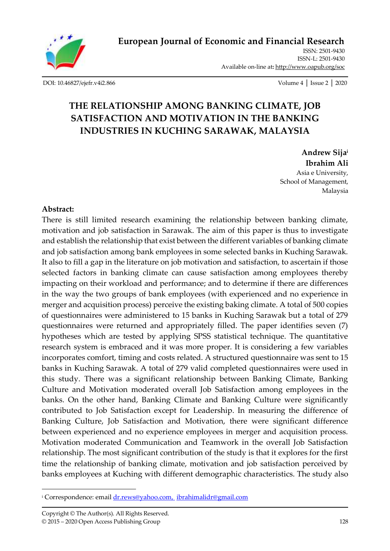

ISSN: 2501-9430 ISSN-L: 2501-943[0](http://oapub.org/soc/index.php/EJSSS) Available on-line at**:** <http://www.oapub.org/soc>

[DOI: 10.46827/ejefr.v4i2.866](http://dx.doi.org/10.46827/ejefr.v4i2.856) Volume 4 │ Issue 2 │ 2020

# **THE RELATIONSHIP AMONG BANKING CLIMATE, JOB SATISFACTION AND MOTIVATION IN THE BANKING INDUSTRIES IN KUCHING SARAWAK, MALAYSIA**

**Andrew Sija<sup>i</sup> Ibrahim Ali** Asia e University, School of Management, Malaysia

#### **Abstract:**

There is still limited research examining the relationship between banking climate, motivation and job satisfaction in Sarawak. The aim of this paper is thus to investigate and establish the relationship that exist between the different variables of banking climate and job satisfaction among bank employees in some selected banks in Kuching Sarawak. It also to fill a gap in the literature on job motivation and satisfaction, to ascertain if those selected factors in banking climate can cause satisfaction among employees thereby impacting on their workload and performance; and to determine if there are differences in the way the two groups of bank employees (with experienced and no experience in merger and acquisition process) perceive the existing baking climate. A total of 500 copies of questionnaires were administered to 15 banks in Kuching Sarawak but a total of 279 questionnaires were returned and appropriately filled. The paper identifies seven (7) hypotheses which are tested by applying SPSS statistical technique. The quantitative research system is embraced and it was more proper. It is considering a few variables incorporates comfort, timing and costs related. A structured questionnaire was sent to 15 banks in Kuching Sarawak. A total of 279 valid completed questionnaires were used in this study. There was a significant relationship between Banking Climate, Banking Culture and Motivation moderated overall Job Satisfaction among employees in the banks. On the other hand, Banking Climate and Banking Culture were significantly contributed to Job Satisfaction except for Leadership. In measuring the difference of Banking Culture, Job Satisfaction and Motivation, there were significant difference between experienced and no experience employees in merger and acquisition process. Motivation moderated Communication and Teamwork in the overall Job Satisfaction relationship. The most significant contribution of the study is that it explores for the first time the relationship of banking climate, motivation and job satisfaction perceived by banks employees at Kuching with different demographic characteristics. The study also

<sup>&</sup>lt;sup>i</sup> Correspondence: emai[l dr.rews@yahoo.com,](mailto:dr.rews@yahoo.com) [ibrahimalidr@gmail.com](mailto:ibrahimalidr@gmail.com)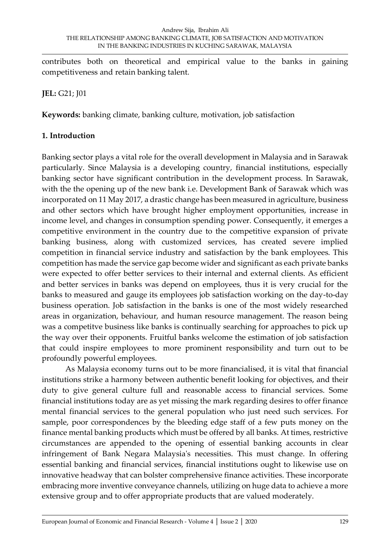contributes both on theoretical and empirical value to the banks in gaining competitiveness and retain banking talent.

## **JEL:** G21; J01

**Keywords:** banking climate, banking culture, motivation, job satisfaction

## **1. Introduction**

Banking sector plays a vital role for the overall development in Malaysia and in Sarawak particularly. Since Malaysia is a developing country, financial institutions, especially banking sector have significant contribution in the development process. In Sarawak, with the the opening up of the new bank i.e. Development Bank of Sarawak which was incorporated on 11 May 2017, a drastic change has been measured in agriculture, business and other sectors which have brought higher employment opportunities, increase in income level, and changes in consumption spending power. Consequently, it emerges a competitive environment in the country due to the competitive expansion of private banking business, along with customized services, has created severe implied competition in financial service industry and satisfaction by the bank employees. This competition has made the service gap become wider and significant as each private banks were expected to offer better services to their internal and external clients. As efficient and better services in banks was depend on employees, thus it is very crucial for the banks to measured and gauge its employees job satisfaction working on the day-to-day business operation. Job satisfaction in the banks is one of the most widely researched areas in organization, behaviour, and human resource management. The reason being was a competitve business like banks is continually searching for approaches to pick up the way over their opponents. Fruitful banks welcome the estimation of job satisfaction that could inspire employees to more prominent responsibility and turn out to be profoundly powerful employees.

As Malaysia economy turns out to be more financialised, it is vital that financial institutions strike a harmony between authentic benefit looking for objectives, and their duty to give general culture full and reasonable access to financial services. Some financial institutions today are as yet missing the mark regarding desires to offer finance mental financial services to the general population who just need such services. For sample, poor correspondences by the bleeding edge staff of a few puts money on the finance mental banking products which must be offered by all banks. At times, restrictive circumstances are appended to the opening of essential banking accounts in clear infringement of Bank Negara Malaysia's necessities. This must change. In offering essential banking and financial services, financial institutions ought to likewise use on innovative headway that can bolster comprehensive finance activities. These incorporate embracing more inventive conveyance channels, utilizing on huge data to achieve a more extensive group and to offer appropriate products that are valued moderately.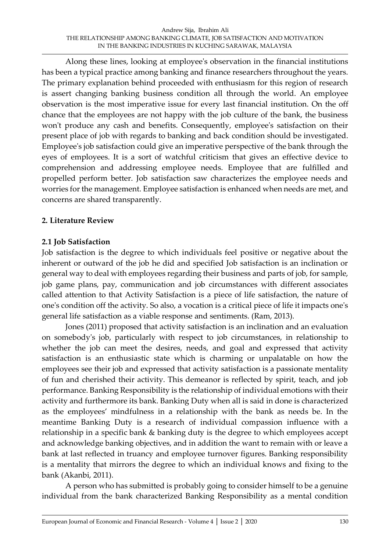Along these lines, looking at employee's observation in the financial institutions has been a typical practice among banking and finance researchers throughout the years. The primary explanation behind proceeded with enthusiasm for this region of research is assert changing banking business condition all through the world. An employee observation is the most imperative issue for every last financial institution. On the off chance that the employees are not happy with the job culture of the bank, the business won't produce any cash and benefits. Consequently, employee's satisfaction on their present place of job with regards to banking and back condition should be investigated. Employee's job satisfaction could give an imperative perspective of the bank through the eyes of employees. It is a sort of watchful criticism that gives an effective device to comprehension and addressing employee needs. Employee that are fulfilled and propelled perform better. Job satisfaction saw characterizes the employee needs and worries for the management. Employee satisfaction is enhanced when needs are met, and concerns are shared transparently.

## **2. Literature Review**

## **2.1 Job Satisfaction**

Job satisfaction is the degree to which individuals feel positive or negative about the inherent or outward of the job he did and specified Job satisfaction is an inclination or general way to deal with employees regarding their business and parts of job, for sample, job game plans, pay, communication and job circumstances with different associates called attention to that Activity Satisfaction is a piece of life satisfaction, the nature of one's condition off the activity. So also, a vocation is a critical piece of life it impacts one's general life satisfaction as a viable response and sentiments. (Ram, 2013).

Jones (2011) proposed that activity satisfaction is an inclination and an evaluation on somebody's job, particularly with respect to job circumstances, in relationship to whether the job can meet the desires, needs, and goal and expressed that activity satisfaction is an enthusiastic state which is charming or unpalatable on how the employees see their job and expressed that activity satisfaction is a passionate mentality of fun and cherished their activity. This demeanor is reflected by spirit, teach, and job performance. Banking Responsibility is the relationship of individual emotions with their activity and furthermore its bank. Banking Duty when all is said in done is characterized as the employees' mindfulness in a relationship with the bank as needs be. In the meantime Banking Duty is a research of individual compassion influence with a relationship in a specific bank & banking duty is the degree to which employees accept and acknowledge banking objectives, and in addition the want to remain with or leave a bank at last reflected in truancy and employee turnover figures. Banking responsibility is a mentality that mirrors the degree to which an individual knows and fixing to the bank (Akanbi, 2011).

A person who has submitted is probably going to consider himself to be a genuine individual from the bank characterized Banking Responsibility as a mental condition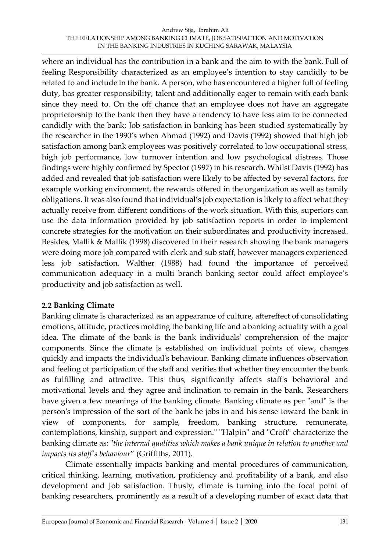#### Andrew Sija, Ibrahim Ali THE RELATIONSHIP AMONG BANKING CLIMATE, JOB SATISFACTION AND MOTIVATION IN THE BANKING INDUSTRIES IN KUCHING SARAWAK, MALAYSIA

where an individual has the contribution in a bank and the aim to with the bank. Full of feeling Responsibility characterized as an employee's intention to stay candidly to be related to and include in the bank. A person, who has encountered a higher full of feeling duty, has greater responsibility, talent and additionally eager to remain with each bank since they need to. On the off chance that an employee does not have an aggregate proprietorship to the bank then they have a tendency to have less aim to be connected candidly with the bank; Job satisfaction in banking has been studied systematically by the researcher in the 1990's when Ahmad (1992) and Davis (1992) showed that high job satisfaction among bank employees was positively correlated to low occupational stress, high job performance, low turnover intention and low psychological distress. Those findings were highly confirmed by Spector (1997) in his research. Whilst Davis (1992) has added and revealed that job satisfaction were likely to be affected by several factors, for example working environment, the rewards offered in the organization as well as family obligations. It was also found that individual's job expectation is likely to affect what they actually receive from different conditions of the work situation. With this, superiors can use the data information provided by job satisfaction reports in order to implement concrete strategies for the motivation on their subordinates and productivity increased. Besides, Mallik & Mallik (1998) discovered in their research showing the bank managers were doing more job compared with clerk and sub staff, however managers experienced less job satisfaction. Walther (1988) had found the importance of perceived communication adequacy in a multi branch banking sector could affect employee's productivity and job satisfaction as well.

## **2.2 Banking Climate**

Banking climate is characterized as an appearance of culture, aftereffect of consolidating emotions, attitude, practices molding the banking life and a banking actuality with a goal idea. The climate of the bank is the bank individuals' comprehension of the major components. Since the climate is established on individual points of view, changes quickly and impacts the individual's behaviour. Banking climate influences observation and feeling of participation of the staff and verifies that whether they encounter the bank as fulfilling and attractive. This thus, significantly affects staff's behavioral and motivational levels and they agree and inclination to remain in the bank. Researchers have given a few meanings of the banking climate. Banking climate as per "and" is the person's impression of the sort of the bank he jobs in and his sense toward the bank in view of components, for sample, freedom, banking structure, remunerate, contemplations, kinship, support and expression." "Halpin" and "Croft" characterize the banking climate as: "*the internal qualities which makes a bank unique in relation to another and impacts its staff's behaviour*" (Griffiths, 2011).

Climate essentially impacts banking and mental procedures of communication, critical thinking, learning, motivation, proficiency and profitability of a bank, and also development and Job satisfaction. Thusly, climate is turning into the focal point of banking researchers, prominently as a result of a developing number of exact data that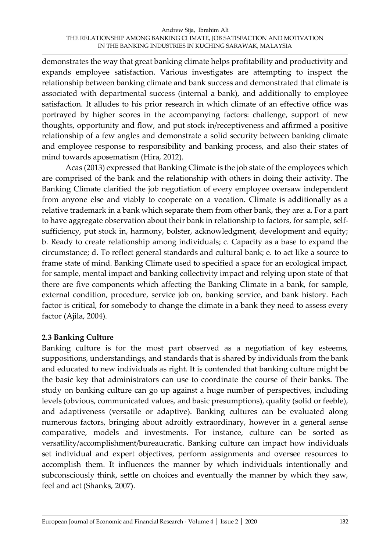demonstrates the way that great banking climate helps profitability and productivity and expands employee satisfaction. Various investigates are attempting to inspect the relationship between banking climate and bank success and demonstrated that climate is associated with departmental success (internal a bank), and additionally to employee satisfaction. It alludes to his prior research in which climate of an effective office was portrayed by higher scores in the accompanying factors: challenge, support of new thoughts, opportunity and flow, and put stock in/receptiveness and affirmed a positive relationship of a few angles and demonstrate a solid security between banking climate and employee response to responsibility and banking process, and also their states of mind towards aposematism (Hira, 2012).

Acas (2013) expressed that Banking Climate is the job state of the employees which are comprised of the bank and the relationship with others in doing their activity. The Banking Climate clarified the job negotiation of every employee oversaw independent from anyone else and viably to cooperate on a vocation. Climate is additionally as a relative trademark in a bank which separate them from other bank, they are: a. For a part to have aggregate observation about their bank in relationship to factors, for sample, selfsufficiency, put stock in, harmony, bolster, acknowledgment, development and equity; b. Ready to create relationship among individuals; c. Capacity as a base to expand the circumstance; d. To reflect general standards and cultural bank; e. to act like a source to frame state of mind. Banking Climate used to specified a space for an ecological impact, for sample, mental impact and banking collectivity impact and relying upon state of that there are five components which affecting the Banking Climate in a bank, for sample, external condition, procedure, service job on, banking service, and bank history. Each factor is critical, for somebody to change the climate in a bank they need to assess every factor (Ajila, 2004).

## **2.3 Banking Culture**

Banking culture is for the most part observed as a negotiation of key esteems, suppositions, understandings, and standards that is shared by individuals from the bank and educated to new individuals as right. It is contended that banking culture might be the basic key that administrators can use to coordinate the course of their banks. The study on banking culture can go up against a huge number of perspectives, including levels (obvious, communicated values, and basic presumptions), quality (solid or feeble), and adaptiveness (versatile or adaptive). Banking cultures can be evaluated along numerous factors, bringing about adroitly extraordinary, however in a general sense comparative, models and investments. For instance, culture can be sorted as versatility/accomplishment/bureaucratic. Banking culture can impact how individuals set individual and expert objectives, perform assignments and oversee resources to accomplish them. It influences the manner by which individuals intentionally and subconsciously think, settle on choices and eventually the manner by which they saw, feel and act (Shanks, 2007).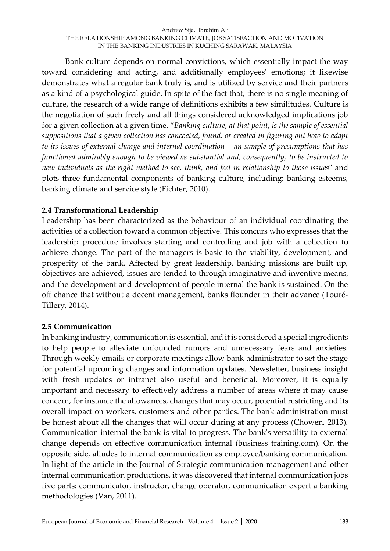Bank culture depends on normal convictions, which essentially impact the way toward considering and acting, and additionally employees' emotions; it likewise demonstrates what a regular bank truly is, and is utilized by service and their partners as a kind of a psychological guide. In spite of the fact that, there is no single meaning of culture, the research of a wide range of definitions exhibits a few similitudes. Culture is the negotiation of such freely and all things considered acknowledged implications job for a given collection at a given time. "*Banking culture, at that point, is the sample of essential suppositions that a given collection has concocted, found, or created in figuring out how to adapt to its issues of external change and internal coordination – an sample of presumptions that has functioned admirably enough to be viewed as substantial and, consequently, to be instructed to new individuals as the right method to see, think, and feel in relationship to those issues*" and plots three fundamental components of banking culture, including: banking esteems, banking climate and service style (Fichter, 2010).

## **2.4 Transformational Leadership**

Leadership has been characterized as the behaviour of an individual coordinating the activities of a collection toward a common objective. This concurs who expresses that the leadership procedure involves starting and controlling and job with a collection to achieve change. The part of the managers is basic to the viability, development, and prosperity of the bank. Affected by great leadership, banking missions are built up, objectives are achieved, issues are tended to through imaginative and inventive means, and the development and development of people internal the bank is sustained. On the off chance that without a decent management, banks flounder in their advance (Touré‐ Tillery, 2014).

## **2.5 Communication**

In banking industry, communication is essential, and it is considered a special ingredients to help people to alleviate unfounded rumors and unnecessary fears and anxieties. Through weekly emails or corporate meetings allow bank administrator to set the stage for potential upcoming changes and information updates. Newsletter, business insight with fresh updates or intranet also useful and beneficial. Moreover, it is equally important and necessary to effectively address a number of areas where it may cause concern, for instance the allowances, changes that may occur, potential restricting and its overall impact on workers, customers and other parties. The bank administration must be honest about all the changes that will occur during at any process (Chowen, 2013). Communication internal the bank is vital to progress. The bank's versatility to external change depends on effective communication internal (business training.com). On the opposite side, alludes to internal communication as employee/banking communication. In light of the article in the Journal of Strategic communication management and other internal communication productions, it was discovered that internal communication jobs five parts: communicator, instructor, change operator, communication expert a banking methodologies (Van, 2011).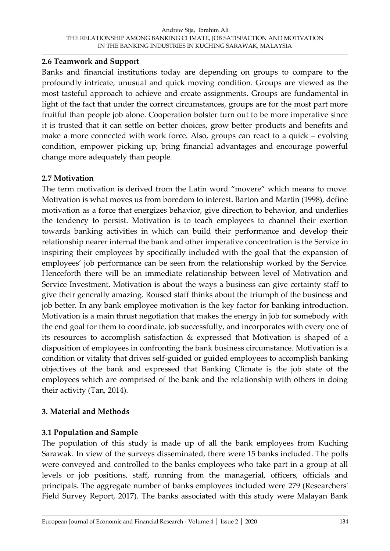## **2.6 Teamwork and Support**

Banks and financial institutions today are depending on groups to compare to the profoundly intricate, unusual and quick moving condition. Groups are viewed as the most tasteful approach to achieve and create assignments. Groups are fundamental in light of the fact that under the correct circumstances, groups are for the most part more fruitful than people job alone. Cooperation bolster turn out to be more imperative since it is trusted that it can settle on better choices, grow better products and benefits and make a more connected with work force. Also, groups can react to a quick – evolving condition, empower picking up, bring financial advantages and encourage powerful change more adequately than people.

## **2.7 Motivation**

The term motivation is derived from the Latin word "movere" which means to move. Motivation is what moves us from boredom to interest. Barton and Martin (1998), define motivation as a force that energizes behavior, give direction to behavior, and underlies the tendency to persist. Motivation is to teach employees to channel their exertion towards banking activities in which can build their performance and develop their relationship nearer internal the bank and other imperative concentration is the Service in inspiring their employees by specifically included with the goal that the expansion of employees' job performance can be seen from the relationship worked by the Service. Henceforth there will be an immediate relationship between level of Motivation and Service Investment. Motivation is about the ways a business can give certainty staff to give their generally amazing. Roused staff thinks about the triumph of the business and job better. In any bank employee motivation is the key factor for banking introduction. Motivation is a main thrust negotiation that makes the energy in job for somebody with the end goal for them to coordinate, job successfully, and incorporates with every one of its resources to accomplish satisfaction & expressed that Motivation is shaped of a disposition of employees in confronting the bank business circumstance. Motivation is a condition or vitality that drives self-guided or guided employees to accomplish banking objectives of the bank and expressed that Banking Climate is the job state of the employees which are comprised of the bank and the relationship with others in doing their activity (Tan, 2014).

## **3. Material and Methods**

## **3.1 Population and Sample**

The population of this study is made up of all the bank employees from Kuching Sarawak. In view of the surveys disseminated, there were 15 banks included. The polls were conveyed and controlled to the banks employees who take part in a group at all levels or job positions, staff, running from the managerial, officers, officials and principals. The aggregate number of banks employees included were 279 (Researchers' Field Survey Report, 2017). The banks associated with this study were Malayan Bank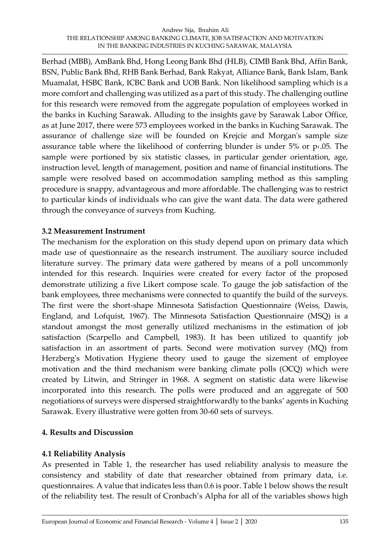Berhad (MBB), AmBank Bhd, Hong Leong Bank Bhd (HLB), CIMB Bank Bhd, Affin Bank, BSN, Public Bank Bhd, RHB Bank Berhad, Bank Rakyat, Alliance Bank, Bank Islam, Bank Muamalat, HSBC Bank, ICBC Bank and UOB Bank. Non likelihood sampling which is a more comfort and challenging was utilized as a part of this study. The challenging outline for this research were removed from the aggregate population of employees worked in the banks in Kuching Sarawak. Alluding to the insights gave by Sarawak Labor Office, as at June 2017, there were 573 employees worked in the banks in Kuching Sarawak. The assurance of challenge size will be founded on Krejcie and Morgan's sample size assurance table where the likelihood of conferring blunder is under 5% or p‹.05. The sample were portioned by six statistic classes, in particular gender orientation, age, instruction level, length of management, position and name of financial institutions. The sample were resolved based on accommodation sampling method as this sampling procedure is snappy, advantageous and more affordable. The challenging was to restrict to particular kinds of individuals who can give the want data. The data were gathered through the conveyance of surveys from Kuching.

## **3.2 Measurement Instrument**

The mechanism for the exploration on this study depend upon on primary data which made use of questionnaire as the research instrument. The auxiliary source included literature survey. The primary data were gathered by means of a poll uncommonly intended for this research. Inquiries were created for every factor of the proposed demonstrate utilizing a five Likert compose scale. To gauge the job satisfaction of the bank employees, three mechanisms were connected to quantify the build of the surveys. The first were the short-shape Minnesota Satisfaction Questionnaire (Weiss, Dawis, England, and Lofquist, 1967). The Minnesota Satisfaction Questionnaire (MSQ) is a standout amongst the most generally utilized mechanisms in the estimation of job satisfaction (Scarpello and Campbell, 1983). It has been utilized to quantify job satisfaction in an assortment of parts. Second were motivation survey (MQ) from Herzberg's Motivation Hygiene theory used to gauge the sizement of employee motivation and the third mechanism were banking climate polls (OCQ) which were created by Litwin, and Stringer in 1968. A segment on statistic data were likewise incorporated into this research. The polls were produced and an aggregate of 500 negotiations of surveys were dispersed straightforwardly to the banks' agents in Kuching Sarawak. Every illustrative were gotten from 30-60 sets of surveys.

## **4. Results and Discussion**

## **4.1 Reliability Analysis**

As presented in Table 1, the researcher has used reliability analysis to measure the consistency and stability of date that researcher obtained from primary data, i.e. questionnaires. A value that indicates less than 0.6 is poor. Table 1 below shows the result of the reliability test. The result of Cronbach's Alpha for all of the variables shows high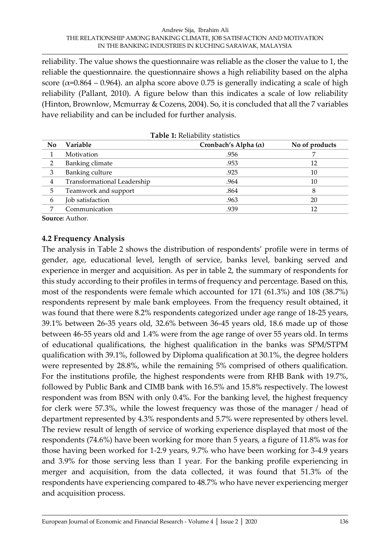reliability. The value shows the questionnaire was reliable as the closer the value to 1, the reliable the questionnaire. the questionnaire shows a high reliability based on the alpha score ( $\alpha$ =0.864 – 0.964). an alpha score above 0.75 is generally indicating a scale of high reliability (Pallant, 2010). A figure below than this indicates a scale of low reliability (Hinton, Brownlow, Mcmurray & Cozens, 2004). So, it is concluded that all the 7 variables have reliability and can be included for further analysis.

| <b>Table 1.</b> Reliability Statistics |                             |                                               |    |  |  |  |  |  |
|----------------------------------------|-----------------------------|-----------------------------------------------|----|--|--|--|--|--|
| No                                     | Variable                    | Cronbach's Alpha $(\alpha)$<br>No of products |    |  |  |  |  |  |
|                                        | Motivation                  | .956                                          |    |  |  |  |  |  |
|                                        | Banking climate             | .953                                          | 12 |  |  |  |  |  |
| 3                                      | Banking culture             | .925                                          | 10 |  |  |  |  |  |
| 4                                      | Transformational Leadership | .964                                          | 10 |  |  |  |  |  |
| 5                                      | Teamwork and support        | .864                                          | 8  |  |  |  |  |  |
| 6                                      | Job satisfaction            | .963                                          | 20 |  |  |  |  |  |
|                                        | Communication               | .939                                          | 12 |  |  |  |  |  |
|                                        |                             |                                               |    |  |  |  |  |  |

| Table 1: Reliability statistics |  |
|---------------------------------|--|
|---------------------------------|--|

**Source:** Author.

## **4.2 Frequency Analysis**

The analysis in Table 2 shows the distribution of respondents' profile were in terms of gender, age, educational level, length of service, banks level, banking served and experience in merger and acquisition. As per in table 2, the summary of respondents for this study according to their profiles in terms of frequency and percentage. Based on this, most of the respondents were female which accounted for 171 (61.3%) and 108 (38.7%) respondents represent by male bank employees. From the frequency result obtained, it was found that there were 8.2% respondents categorized under age range of 18-25 years, 39.1% between 26-35 years old, 32.6% between 36-45 years old, 18.6 made up of those between 46-55 years old and 1.4% were from the age range of over 55 years old. In terms of educational qualifications, the highest qualification in the banks was SPM/STPM qualification with 39.1%, followed by Diploma qualification at 30.1%, the degree holders were represented by 28.8%, while the remaining 5% comprised of others qualification. For the institutions profile, the highest respondents were from RHB Bank with 19.7%, followed by Public Bank and CIMB bank with 16.5% and 15.8% respectively. The lowest respondent was from BSN with only 0.4%. For the banking level, the highest frequency for clerk were 57.3%, while the lowest frequency was those of the manager / head of department represented by 4.3% respondents and 5.7% were represented by others level. The review result of length of service of working experience displayed that most of the respondents (74.6%) have been working for more than 5 years, a figure of 11.8% was for those having been worked for 1-2.9 years, 9.7% who have been working for 3-4.9 years and 3.9% for those serving less than 1 year. For the banking profile experiencing in merger and acquisition, from the data collected, it was found that 51.3% of the respondents have experiencing compared to 48.7% who have never experiencing merger and acquisition process.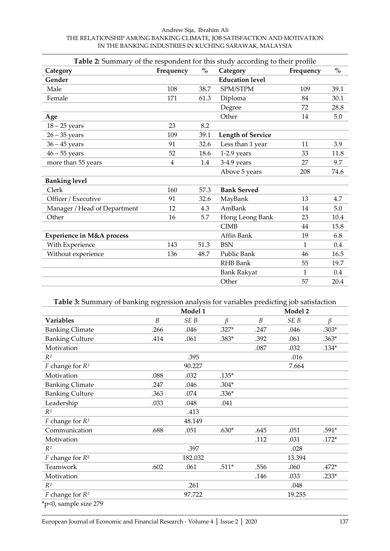#### Andrew Sija, Ibrahim Ali THE RELATIONSHIP AMONG BANKING CLIMATE, JOB SATISFACTION AND MOTIVATION IN THE BANKING INDUSTRIES IN KUCHING SARAWAK, MALAYSIA

| Table 2: Summary of the respondent for this study according to their profile |                |      |                          |           |               |  |  |
|------------------------------------------------------------------------------|----------------|------|--------------------------|-----------|---------------|--|--|
| Category                                                                     | Frequency      | $\%$ | Category                 | Frequency | $\frac{0}{0}$ |  |  |
| Gender                                                                       |                |      | <b>Education level</b>   |           |               |  |  |
| Male                                                                         | 108            | 38.7 | SPM/STPM                 | 109       | 39.1          |  |  |
| Female                                                                       | 171            | 61.3 | Diploma                  | 84        | 30.1          |  |  |
|                                                                              |                |      | Degree                   | 72        | 28.8          |  |  |
| Age                                                                          |                |      | Other                    | 14        | 5.0           |  |  |
| $18 - 25$ years                                                              | 23             | 8.2  |                          |           |               |  |  |
| $26 - 35$ years                                                              | 109            | 39.1 | <b>Length of Service</b> |           |               |  |  |
| $36 - 45$ years                                                              | 91             | 32.6 | Less than 1 year         | 11        | 3.9           |  |  |
| $46 - 55$ years                                                              | 52             | 18.6 | $1-2.9$ years            | 33        | 11.8          |  |  |
| more than 55 years                                                           | $\overline{4}$ | 1.4  | 3-4.9 years              | 27        | 9.7           |  |  |
|                                                                              |                |      | Above 5 years            | 208       | 74.6          |  |  |
| <b>Banking level</b>                                                         |                |      |                          |           |               |  |  |
| Clerk                                                                        | 160            | 57.3 | <b>Bank Served</b>       |           |               |  |  |
| Officer / Executive                                                          | 91             | 32.6 | MayBank                  | 13        | 4.7           |  |  |
| Manager / Head of Department                                                 | 12             | 4.3  | AmBank                   | 14        | 5.0           |  |  |
| Other                                                                        | 16             | 5.7  | Hong Leong Bank          | 23        | 10.4          |  |  |
|                                                                              |                |      | <b>CIMB</b>              | 44        | 15.8          |  |  |
| <b>Experience in M&amp;A process</b>                                         |                |      | Affin Bank               | 19        | 6.8           |  |  |
| With Experience                                                              | 143            | 51.3 | <b>BSN</b>               | 1         | 0.4           |  |  |
| Without experience                                                           | 136            | 48.7 | <b>Public Bank</b>       | 46        | 16.5          |  |  |
|                                                                              |                |      | <b>RHB</b> Bank          | 55        | 19.7          |  |  |
|                                                                              |                |      | <b>Bank Rakyat</b>       | 1         | 0.4           |  |  |
|                                                                              |                |      | Other                    | 57        | 20.4          |  |  |
|                                                                              |                |      |                          |           |               |  |  |

#### **Table 3:** Summary of banking regression analysis for variables predicting job satisfaction

|                           |      | Model 1 |         |      | Model 2 |         |
|---------------------------|------|---------|---------|------|---------|---------|
| <b>Variables</b>          | B    | SE B    | ß       | B    | SE B    | β       |
| <b>Banking Climate</b>    | .266 | .046    | $.327*$ | .247 | .046    | $.303*$ |
| <b>Banking Culture</b>    | .414 | .061    | .383*   | .392 | .061    | $.363*$ |
| Motivation                |      |         |         | .087 | .032    | $.134*$ |
| $R^2$                     |      | .395    |         |      | .016    |         |
| $F$ change for $R^2$      |      | 90.227  |         |      | 7.664   |         |
| Motivation                | .088 | .032    | $.135*$ |      |         |         |
| <b>Banking Climate</b>    | .247 | .046    | $.304*$ |      |         |         |
| <b>Banking Culture</b>    | .363 | .074    | $.336*$ |      |         |         |
| Leadership                | .033 | .048    | .041    |      |         |         |
| $\mathbb{R}^2$            |      | .413    |         |      |         |         |
| $F$ change for $R^2$      |      | 48.149  |         |      |         |         |
| Communication             | .688 | .051    | $.630*$ | .645 | .051    | $.591*$ |
| Motivation                |      |         |         | .112 | .031    | $.172*$ |
| $R^2$                     |      | .397    |         |      | .028    |         |
| $F$ change for $R^2$      |      | 182.032 |         |      | 13.394  |         |
| Teamwork                  | .602 | .061    | $.511*$ | .556 | .060    | $.472*$ |
| Motivation                |      |         |         | .146 | .033    | $.233*$ |
| $R^2$                     |      | .261    |         |      | .048    |         |
| <i>F</i> change for $R^2$ |      | 97.722  |         |      | 19.255  |         |
| *p<0, sample size 279     |      |         |         |      |         |         |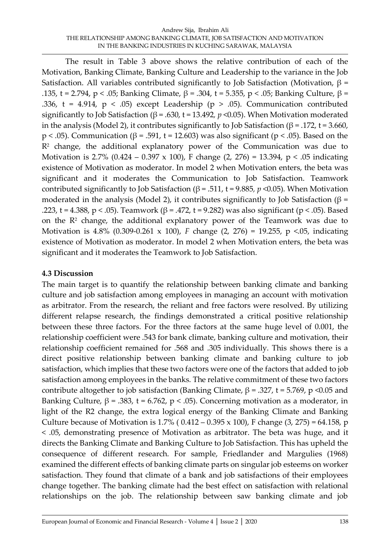The result in Table 3 above shows the relative contribution of each of the Motivation, Banking Climate, Banking Culture and Leadership to the variance in the Job Satisfaction. All variables contributed significantly to Job Satisfaction (Motivation,  $β =$ .135, t = 2.794, p < .05; Banking Climate, β = .304, t = 5.355, p < .05; Banking Culture, β = .336, t = 4.914,  $p < .05$ ) except Leadership ( $p > .05$ ). Communication contributed significantly to Job Satisfaction ( $\beta$  = .630, t = 13.492, p < 0.05). When Motivation moderated in the analysis (Model 2), it contributes significantly to Job Satisfaction (β = .172, t = 3.660, p < .05). Communication (β = .591, t = 12.603) was also significant (p < .05). Based on the  $R<sup>2</sup>$  change, the additional explanatory power of the Communication was due to Motivation is 2.7% (0.424 – 0.397 x 100), F change (2, 276) = 13.394, p < .05 indicating existence of Motivation as moderator. In model 2 when Motivation enters, the beta was significant and it moderates the Communication to Job Satisfaction. Teamwork contributed significantly to Job Satisfaction (β = .511, t = 9.885*, p* <0.05). When Motivation moderated in the analysis (Model 2), it contributes significantly to Job Satisfaction ( $\beta$  = .223, t = 4.388, p < .05). Teamwork (β = .472, t = 9.282) was also significant (p < .05). Based on the  $\mathbb{R}^2$  change, the additional explanatory power of the Teamwork was due to Motivation is 4.8% (0.309-0.261 x 100), *F* change (2, 276) = 19.255, p <.05, indicating existence of Motivation as moderator. In model 2 when Motivation enters, the beta was significant and it moderates the Teamwork to Job Satisfaction.

## **4.3 Discussion**

The main target is to quantify the relationship between banking climate and banking culture and job satisfaction among employees in managing an account with motivation as arbitrator. From the research, the reliant and free factors were resolved. By utilizing different relapse research, the findings demonstrated a critical positive relationship between these three factors. For the three factors at the same huge level of 0.001, the relationship coefficient were .543 for bank climate, banking culture and motivation, their relationship coefficient remained for .568 and .305 individually. This shows there is a direct positive relationship between banking climate and banking culture to job satisfaction, which implies that these two factors were one of the factors that added to job satisfaction among employees in the banks. The relative commitment of these two factors contribute altogether to job satisfaction (Banking Climate,  $\beta$  = .327, t = 5.769, p <0.05 and Banking Culture,  $\beta$  = .383, t = 6.762, p < .05). Concerning motivation as a moderator, in light of the R2 change, the extra logical energy of the Banking Climate and Banking Culture because of Motivation is  $1.7\%$  ( $0.412 - 0.395 \times 100$ ), F change (3, 275) = 64.158, p < .05, demonstrating presence of Motivation as arbitrator. The beta was huge, and it directs the Banking Climate and Banking Culture to Job Satisfaction. This has upheld the consequence of different research. For sample, Friedlander and Margulies (1968) examined the different effects of banking climate parts on singular job esteems on worker satisfaction. They found that climate of a bank and job satisfactions of their employees change together. The banking climate had the best effect on satisfaction with relational relationships on the job. The relationship between saw banking climate and job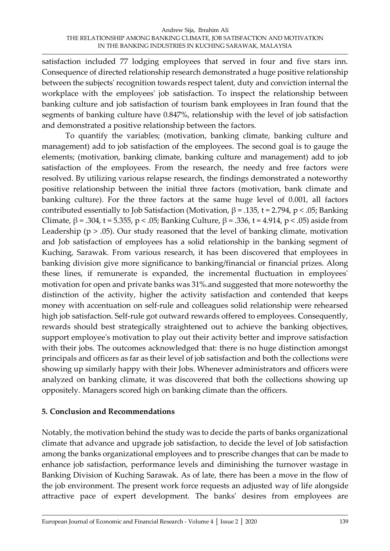satisfaction included 77 lodging employees that served in four and five stars inn. Consequence of directed relationship research demonstrated a huge positive relationship between the subjects' recognition towards respect talent, duty and conviction internal the workplace with the employees' job satisfaction. To inspect the relationship between banking culture and job satisfaction of tourism bank employees in Iran found that the segments of banking culture have 0.847%, relationship with the level of job satisfaction and demonstrated a positive relationship between the factors.

To quantify the variables; (motivation, banking climate, banking culture and management) add to job satisfaction of the employees. The second goal is to gauge the elements; (motivation, banking climate, banking culture and management) add to job satisfaction of the employees. From the research, the needy and free factors were resolved. By utilizing various relapse research, the findings demonstrated a noteworthy positive relationship between the initial three factors (motivation, bank climate and banking culture). For the three factors at the same huge level of 0.001, all factors contributed essentially to Job Satisfaction (Motivation,  $β = .135$ ,  $t = 2.794$ ,  $p < .05$ ; Banking Climate,  $β = .304$ , t = 5.355, p < .05; Banking Culture,  $β = .336$ , t = 4.914, p < .05) aside from Leadership ( $p > .05$ ). Our study reasoned that the level of banking climate, motivation and Job satisfaction of employees has a solid relationship in the banking segment of Kuching, Sarawak. From various research, it has been discovered that employees in banking division give more significance to banking/financial or financial prizes. Along these lines, if remunerate is expanded, the incremental fluctuation in employees' motivation for open and private banks was 31%.and suggested that more noteworthy the distinction of the activity, higher the activity satisfaction and contended that keeps money with accentuation on self-rule and colleagues solid relationship were rehearsed high job satisfaction. Self-rule got outward rewards offered to employees. Consequently, rewards should best strategically straightened out to achieve the banking objectives, support employee's motivation to play out their activity better and improve satisfaction with their jobs. The outcomes acknowledged that: there is no huge distinction amongst principals and officers as far as their level of job satisfaction and both the collections were showing up similarly happy with their Jobs. Whenever administrators and officers were analyzed on banking climate, it was discovered that both the collections showing up oppositely. Managers scored high on banking climate than the officers.

## **5. Conclusion and Recommendations**

Notably, the motivation behind the study was to decide the parts of banks organizational climate that advance and upgrade job satisfaction, to decide the level of Job satisfaction among the banks organizational employees and to prescribe changes that can be made to enhance job satisfaction, performance levels and diminishing the turnover wastage in Banking Division of Kuching Sarawak. As of late, there has been a move in the flow of the job environment. The present work force requests an adjusted way of life alongside attractive pace of expert development. The banks' desires from employees are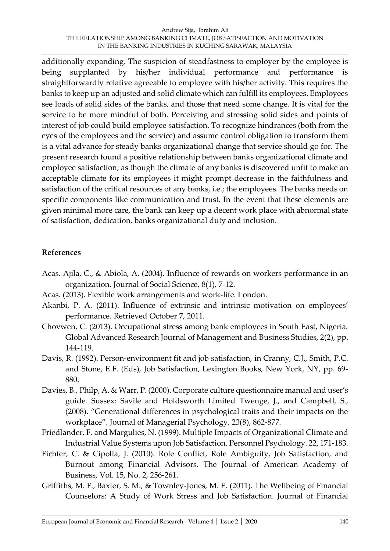#### Andrew Sija, Ibrahim Ali THE RELATIONSHIP AMONG BANKING CLIMATE, JOB SATISFACTION AND MOTIVATION IN THE BANKING INDUSTRIES IN KUCHING SARAWAK, MALAYSIA

additionally expanding. The suspicion of steadfastness to employer by the employee is being supplanted by his/her individual performance and performance is straightforwardly relative agreeable to employee with his/her activity. This requires the banks to keep up an adjusted and solid climate which can fulfill its employees. Employees see loads of solid sides of the banks, and those that need some change. It is vital for the service to be more mindful of both. Perceiving and stressing solid sides and points of interest of job could build employee satisfaction. To recognize hindrances (both from the eyes of the employees and the service) and assume control obligation to transform them is a vital advance for steady banks organizational change that service should go for. The present research found a positive relationship between banks organizational climate and employee satisfaction; as though the climate of any banks is discovered unfit to make an acceptable climate for its employees it might prompt decrease in the faithfulness and satisfaction of the critical resources of any banks, i.e.; the employees. The banks needs on specific components like communication and trust. In the event that these elements are given minimal more care, the bank can keep up a decent work place with abnormal state of satisfaction, dedication, banks organizational duty and inclusion.

## **References**

- Acas. Ajila, C., & Abiola, A. (2004). Influence of rewards on workers performance in an organization. Journal of Social Science, 8(1), 7-12.
- Acas. (2013). Flexible work arrangements and work-life. London.
- Akanbi, P. A. (2011). Influence of extrinsic and intrinsic motivation on employees' performance. Retrieved October 7, 2011.
- Chovwen, C. (2013). Occupational stress among bank employees in South East, Nigeria. Global Advanced Research Journal of Management and Business Studies, 2(2), pp. 144-119.
- Davis, R. (1992). Person-environment fit and job satisfaction, in Cranny, C.J., Smith, P.C. and Stone, E.F. (Eds), Job Satisfaction, Lexington Books, New York, NY, pp. 69- 880.
- Davies, B., Philp, A. & Warr, P. (2000). Corporate culture questionnaire manual and user's guide. Sussex: Savile and Holdsworth Limited Twenge, J., and Campbell, S., (2008). "Generational differences in psychological traits and their impacts on the workplace". Journal of Managerial Psychology, 23(8), 862-877.
- Friedlander, F. and Margulies, N. (1999). Multiple Impacts of Organizational Climate and Industrial Value Systems upon Job Satisfaction. Personnel Psychology. 22, 171-183.
- Fichter, C. & Cipolla, J. (2010). Role Conflict, Role Ambiguity, Job Satisfaction, and Burnout among Financial Advisors. The Journal of American Academy of Business, Vol. 15, No. 2, 256-261.
- Griffiths, M. F., Baxter, S. M., & Townley-Jones, M. E. (2011). The Wellbeing of Financial Counselors: A Study of Work Stress and Job Satisfaction. Journal of Financial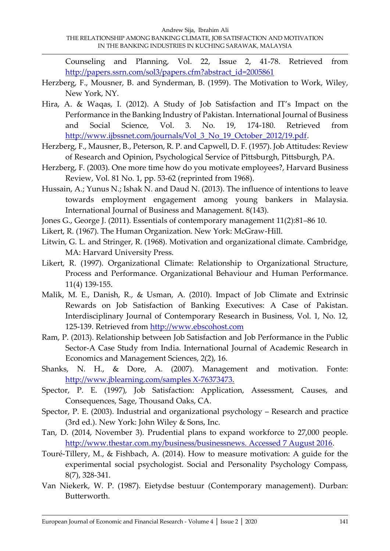Counseling and Planning, Vol. 22, Issue 2, 41-78. Retrieved from [http://papers.ssrn.com/sol3/papers.cfm?abstract\\_id=2005861](http://papers.ssrn.com/sol3/papers.cfm?abstract_id=2005861)

- Herzberg, F., Mousner, B. and Synderman, B. (1959). The Motivation to Work, Wiley, New York, NY.
- Hira, A. & Waqas, I. (2012). A Study of Job Satisfaction and IT's Impact on the Performance in the Banking Industry of Pakistan. International Journal of Business and Social Science, Vol. 3. No. 19, 174-180. Retrieved from [http://www.ijbssnet.com/journals/Vol\\_3\\_No\\_19\\_October\\_2012/19.pdf.](http://www.ijbssnet.com/journals/Vol_3_No_19_October_2012/19.pdf)
- Herzberg, F., Mausner, B., Peterson, R. P. and Capwell, D. F. (1957). Job Attitudes: Review of Research and Opinion, Psychological Service of Pittsburgh, Pittsburgh, PA.
- Herzberg, F. (2003). One more time how do you motivate employees?, Harvard Business Review, Vol. 81 No. 1, pp. 53-62 (reprinted from 1968).
- Hussain, A.; Yunus N.; Ishak N. and Daud N. (2013). The influence of intentions to leave towards employment engagement among young bankers in Malaysia. International Journal of Business and Management. 8(143).
- Jones G., George J. (2011). Essentials of contemporary management 11(2):81–86 10.
- Likert, R. (1967). The Human Organization. New York: McGraw-Hill.
- Litwin, G. L. and Stringer, R. (1968). Motivation and organizational climate. Cambridge, MA: Harvard University Press.
- Likert, R. (1997). Organizational Climate: Relationship to Organizational Structure, Process and Performance. Organizational Behaviour and Human Performance. 11(4) 139-155.
- Malik, M. E., Danish, R., & Usman, A. (2010). Impact of Job Climate and Extrinsic Rewards on Job Satisfaction of Banking Executives: A Case of Pakistan. Interdisciplinary Journal of Contemporary Research in Business, Vol. 1, No. 12, 125-139. Retrieved from [http://www.ebscohost.com](http://www.ebscohost.com/)
- Ram, P. (2013). Relationship between Job Satisfaction and Job Performance in the Public Sector-A Case Study from India. International Journal of Academic Research in Economics and Management Sciences, 2(2), 16.
- Shanks, N. H., & Dore, A. (2007). Management and motivation. Fonte: [http://www.jblearning.com/samples X-76373473.](http://www.jblearning.com/samples%20X-76373473)
- Spector, P. E. (1997), Job Satisfaction: Application, Assessment, Causes, and Consequences, Sage, Thousand Oaks, CA.
- Spector, P. E. (2003). Industrial and organizational psychology Research and practice (3rd ed.). New York: John Wiley & Sons, Inc.
- Tan, D. (2014, November 3). Prudential plans to expand workforce to 27,000 people. [http://www.thestar.com.my/business/businessnews. Accessed 7 August 2016.](http://www.thestar.com.my/business/businessnews.%20Accessed%207%20August%202016)
- Touré‐Tillery, M., & Fishbach, A. (2014). How to measure motivation: A guide for the experimental social psychologist. Social and Personality Psychology Compass, 8(7), 328-341.
- Van Niekerk, W. P. (1987). Eietydse bestuur (Contemporary management). Durban: Butterworth.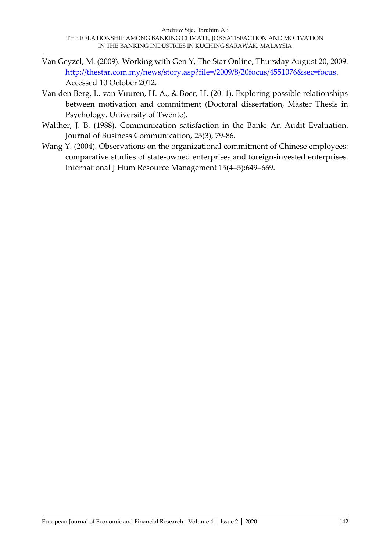- Van Geyzel, M. (2009). Working with Gen Y, The Star Online, Thursday August 20, 2009. [http://thestar.com.my/news/story.asp?file=/2009/8/20focus/4551076&sec=focus.](http://thestar.com.my/news/story.asp?file=/2009/8/20focus/4551076&sec=focus) Accessed 10 October 2012.
- Van den Berg, I., van Vuuren, H. A., & Boer, H. (2011). Exploring possible relationships between motivation and commitment (Doctoral dissertation, Master Thesis in Psychology. University of Twente).
- Walther, J. B. (1988). Communication satisfaction in the Bank: An Audit Evaluation. Journal of Business Communication, 25(3), 79-86.
- Wang Y. (2004). Observations on the organizational commitment of Chinese employees: comparative studies of state-owned enterprises and foreign-invested enterprises. International J Hum Resource Management 15(4–5):649–669.